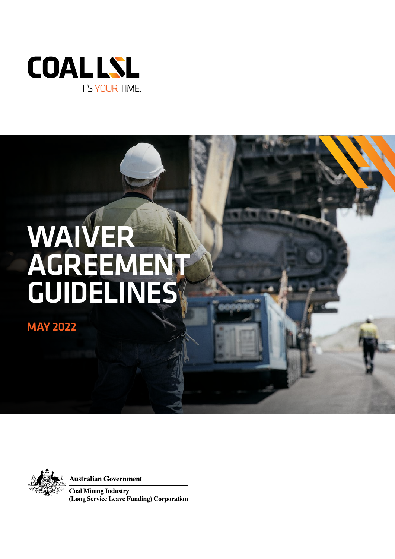

# WAIVER AGREEMENT GUIDELINES

MAY 2022



**Australian Government** 

**Coal Mining Industry** (Long Service Leave Funding) Corporation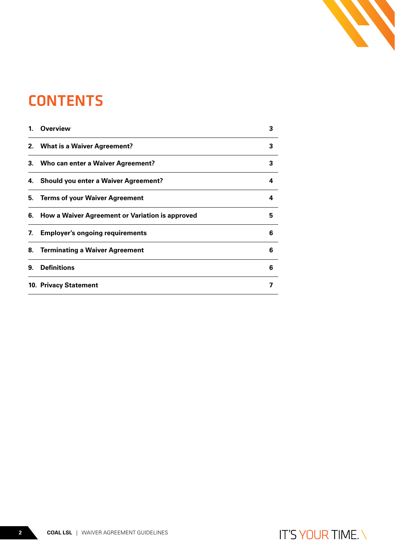## **CONTENTS**

|    | 1. Overview                                        | 3 |
|----|----------------------------------------------------|---|
|    | 2. What is a Waiver Agreement?                     | 3 |
|    | 3. Who can enter a Waiver Agreement?               | 3 |
|    | 4. Should you enter a Waiver Agreement?            | 4 |
|    | 5. Terms of your Waiver Agreement                  | 4 |
|    | 6. How a Waiver Agreement or Variation is approved | 5 |
|    | 7. Employer's ongoing requirements                 | 6 |
|    | 8. Terminating a Waiver Agreement                  | 6 |
| 9. | <b>Definitions</b>                                 | 6 |
|    | 10. Privacy Statement                              | 7 |
|    |                                                    |   |

N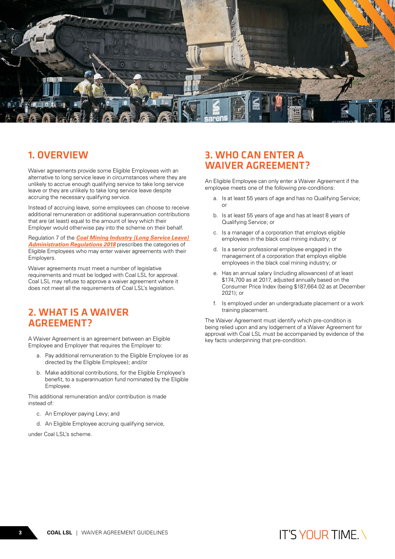<span id="page-2-0"></span>

## 1. OVERVIEW

Waiver agreements provide some Eligible Employees with an alternative to long service leave in circumstances where they are unlikely to accrue enough qualifying service to take long service leave or they are unlikely to take long service leave despite accruing the necessary qualifying service.

Instead of accruing leave, some employees can choose to receive additional remuneration or additional superannuation contributions that are (at least) equal to the amount of levy which their Employer would otherwise pay into the scheme on their behalf.

Regulation 7 of the *[Coal Mining Industry \(Long Service Leave\)](https://www.legislation.gov.au/Series/F2018L00216)*  **[Administration Regulations 2018](https://www.legislation.gov.au/Series/F2018L00216)** prescribes the categories of Eligible Employees who may enter waiver agreements with their Employers.

Waiver agreements must meet a number of legislative requirements and must be lodged with Coal LSL for approval. Coal LSL may refuse to approve a waiver agreement where it does not meet all the requirements of Coal LSL's legislation.

## 2. WHAT IS A WAIVER AGREEMENT?

A Waiver Agreement is an agreement between an Eligible Employee and Employer that requires the Employer to:

- a. Pay additional remuneration to the Eligible Employee (or as directed by the Eligible Employee); and/or
- b. Make additional contributions, for the Eligible Employee's benefit, to a superannuation fund nominated by the Eligible Employee.

This additional remuneration and/or contribution is made instead of:

- c. An Employer paying Levy; and
- d. An Eligible Employee accruing qualifying service,

under Coal LSL's scheme.

## 3. WHO CAN ENTER A WAIVER AGREEMENT?

An Eligible Employee can only enter a Waiver Agreement if the employee meets one of the following pre-conditions:

- a. Is at least 55 years of age and has no Qualifying Service; or
- b. Is at least 55 years of age and has at least 8 years of Qualifying Service; or
- c. Is a manager of a corporation that employs eligible employees in the black coal mining industry; or
- d. Is a senior professional employee engaged in the management of a corporation that employs eligible employees in the black coal mining industry; or
- e. Has an annual salary (including allowances) of at least \$174,700 as at 2017, adjusted annually based on the Consumer Price Index (being \$187,664.02 as at December 2021); or
- f. Is employed under an undergraduate placement or a work training placement.

The Waiver Agreement must identify which pre-condition is being relied upon and any lodgement of a Waiver Agreement for approval with Coal LSL must be accompanied by evidence of the key facts underpinning that pre-condition.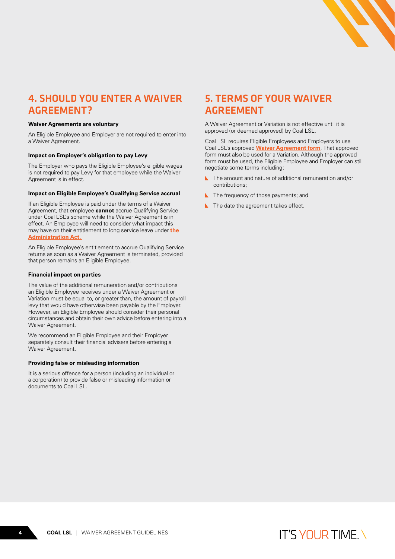

## <span id="page-3-0"></span>4. SHOULD YOU ENTER A WAIVER AGREEMENT?

#### **Waiver Agreements are voluntary**

An Eligible Employee and Employer are not required to enter into a Waiver Agreement.

#### **Impact on Employer's obligation to pay Levy**

The Employer who pays the Eligible Employee's eligible wages is not required to pay Levy for that employee while the Waiver Agreement is in effect.

#### **Impact on Eligible Employee's Qualifying Service accrual**

If an Eligible Employee is paid under the terms of a Waiver Agreement, that employee **cannot** accrue Qualifying Service under Coal LSL's scheme while the Waiver Agreement is in effect. An Employee will need to consider what impact this may have on their entitlement to long service leave under **[the](https://www.legislation.gov.au/Series/C2004A04351)  [Administration Act.](https://www.legislation.gov.au/Series/C2004A04351)** 

An Eligible Employee's entitlement to accrue Qualifying Service returns as soon as a Waiver Agreement is terminated, provided that person remains an Eligible Employee.

#### **Financial impact on parties**

The value of the additional remuneration and/or contributions an Eligible Employee receives under a Waiver Agreement or Variation must be equal to, or greater than, the amount of payroll levy that would have otherwise been payable by the Employer. However, an Eligible Employee should consider their personal circumstances and obtain their own advice before entering into a Waiver Agreement.

We recommend an Eligible Employee and their Employer separately consult their financial advisers before entering a Waiver Agreement.

#### **Providing false or misleading information**

It is a serious offence for a person (including an individual or a corporation) to provide false or misleading information or documents to Coal LSL.

## 5. TERMS OF YOUR WAIVER AGREEMENT

A Waiver Agreement or Variation is not effective until it is approved (or deemed approved) by Coal LSL.

Coal LSL requires Eligible Employees and Employers to use Coal LSL's approved **[Waiver Agreement form](https://www.coallsl.com.au/employer/waiver-agreement/)**. That approved form must also be used for a Variation. Although the approved form must be used, the Eligible Employee and Employer can still negotiate some terms including:

- The amount and nature of additional remuneration and/or contributions;
- The frequency of those payments; and
- The date the agreement takes effect.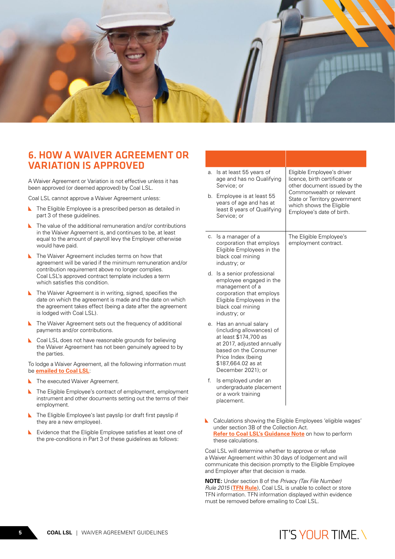<span id="page-4-0"></span>

## 6. HOW A WAIVER AGREEMENT OR VARIATION IS APPROVED

A Waiver Agreement or Variation is not effective unless it has been approved (or deemed approved) by Coal LSL.

Coal LSL cannot approve a Waiver Agreement unless:

- The Eligible Employee is a prescribed person as detailed in х part 3 of these guidelines.
- **■** The value of the additional remuneration and/or contributions in the Waiver Agreement is, and continues to be, at least equal to the amount of payroll levy the Employer otherwise would have paid.
- **N** The Waiver Agreement includes terms on how that agreement will be varied if the minimum remuneration and/or contribution requirement above no longer complies. Coal LSL's approved contract template includes a term which satisfies this condition.
- **N** The Waiver Agreement is in writing, signed, specifies the date on which the agreement is made and the date on which the agreement takes effect (being a date after the agreement is lodged with Coal LSL).
- **N** The Waiver Agreement sets out the frequency of additional payments and/or contributions.
- Coal LSL does not have reasonable grounds for believing the Waiver Agreement has not been genuinely agreed to by the parties.

To lodge a Waiver Agreement, all the following information must be **[emailed to Coal LSL](mailto:servicereview@coallsl.com.au?subject=Waiver%20Agreement%20lodgement)**:

- The executed Waiver Agreement. N
- The Eligible Employee's contract of employment, employment instrument and other documents setting out the terms of their employment.
- The Eligible Employee's last payslip (or draft first payslip if they are a new employee).
- Evidence that the Eligible Employee satisfies at least one of к the pre-conditions in Part 3 of these guidelines as follows:

| a. | Is at least 55 years of<br>age and has no Qualifying<br>Service: or<br>b. Employee is at least 55                                                                                                      | Eligible Employee's driver<br>licence, birth certificate or<br>other document issued by the<br>Commonwealth or relevant |
|----|--------------------------------------------------------------------------------------------------------------------------------------------------------------------------------------------------------|-------------------------------------------------------------------------------------------------------------------------|
|    | years of age and has at<br>least 8 years of Qualifying<br>Service; or                                                                                                                                  | State or Territory government<br>which shows the Eligible<br>Employee's date of birth.                                  |
| C. | Is a manager of a<br>corporation that employs<br>Eligible Employees in the<br>black coal mining<br>industry; or                                                                                        | The Eligible Employee's<br>employment contract.                                                                         |
| d. | Is a senior professional<br>employee engaged in the<br>management of a<br>corporation that employs<br>Eligible Employees in the<br>black coal mining<br>industry; or                                   |                                                                                                                         |
|    | e. Has an annual salary<br>(including allowances) of<br>at least \$174,700 as<br>at 2017, adjusted annually<br>based on the Consumer<br>Price Index (being<br>\$187,664.02 as at<br>December 2021); or |                                                                                                                         |
| f. | Is employed under an<br>undergraduate placement<br>or a work training                                                                                                                                  |                                                                                                                         |

Calculations showing the Eligible Employees 'eligible wages' under section 3B of the Collection Act. **[Refer to Coal LSL's Guidance Note](https://assets.ctfassets.net/w7mmu5az9koe/36Y3zvOnfIqSBbNMVQYzie/4a8c9786e806b92b04bafef68b0544be/guidance-note-on-eligible-wages-for-the-purposes-of-calculating-lsl-levy.pdf)** on how to perform these calculations.

placement.

Coal LSL will determine whether to approve or refuse a Waiver Agreement within 30 days of lodgement and will communicate this decision promptly to the Eligible Employee and Employer after that decision is made.

**NOTE:** Under section 8 of the *Privacy (Tax File Number) Rule 2015* (**[TFN Rule](https://www.legislation.gov.au/Details/F2015L00249)**), Coal LSL is unable to collect or store TFN information. TFN information displayed within evidence must be removed before emailing to Coal LSL.

## **IT'S YOUR TIME \**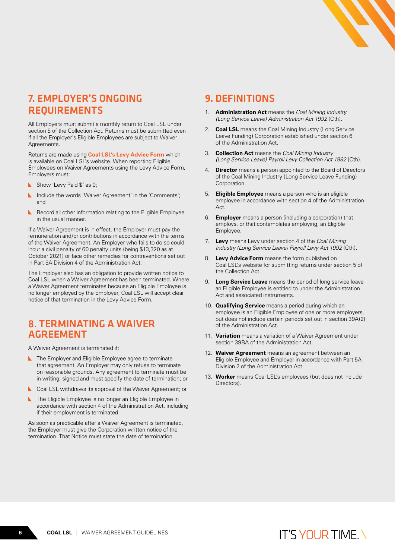## <span id="page-5-0"></span>7. EMPLOYER'S ONGOING REQUIREMENTS

All Employers must submit a monthly return to Coal LSL under section 5 of the Collection Act. Returns must be submitted even if all the Employer's Eligible Employees are subject to Waiver Agreements.

Returns are made using **[Coal LSL's Levy Advice Form](https://www.coallsl.com.au/search/?query=levy%20advice%20form)** which is available on Coal LSL's website. When reporting Eligible Employees on Waiver Agreements using the Levy Advice Form, Employers must:

- Show 'Levy Paid \$' as 0;
- Include the words 'Waiver Agreement' in the 'Comments': and
- K Record all other information relating to the Eligible Employee in the usual manner.

If a Waiver Agreement is in effect, the Employer must pay the remuneration and/or contributions in accordance with the terms of the Waiver Agreement. An Employer who fails to do so could incur a civil penalty of 60 penalty units (being \$13,320 as at October 2021) or face other remedies for contraventions set out in Part 5A Division 4 of the Administration Act.

The Employer also has an obligation to provide written notice to Coal LSL when a Waiver Agreement has been terminated. Where a Waiver Agreement terminates because an Eligible Employee is no longer employed by the Employer, Coal LSL will accept clear notice of that termination in the Levy Advice Form.

## 8. TERMINATING A WAIVER AGREEMENT

A Waiver Agreement is terminated if:

- **N** The Employer and Eligible Employee agree to terminate that agreement. An Employer may only refuse to terminate on reasonable grounds. Any agreement to terminate must be in writing, signed and must specify the date of termination; or
- Coal LSL withdraws its approval of the Waiver Agreement; or
- **N** The Eligible Employee is no longer an Eligible Employee in accordance with section 4 of the Administration Act, including if their employment is terminated.

As soon as practicable after a Waiver Agreement is terminated, the Employer must give the Corporation written notice of the termination. That Notice must state the date of termination.

### 9. DEFINITIONS

- 1. **Administration Act** means the *Coal Mining Industry (Long Service Leave) Administration Act 1992* (Cth).
- 2. **Coal LSL** means the Coal Mining Industry (Long Service Leave Funding) Corporation established under section 6 of the Administration Act.
- 3. **Collection Act** means the *Coal Mining Industry (Long Service Leave) Payroll Levy Collection Act 1992* (Cth).
- 4. **Director** means a person appointed to the Board of Directors of the Coal Mining Industry (Long Service Leave Funding) Corporation.
- 5. **Eligible Employee** means a person who is an eligible employee in accordance with section 4 of the Administration Act.
- 6. **Employer** means a person (including a corporation) that employs, or that contemplates employing, an Eligible Employee.
- 7. **Levy** means Levy under section 4 of the *Coal Mining Industry (Long Service Leave) Payroll Levy Act 1992* (Cth).
- 8. **Levy Advice Form** means the form published on Coal LSL's website for submitting returns under section 5 of the Collection Act.
- 9. **Long Service Leave** means the period of long service leave an Eligible Employee is entitled to under the Administration Act and associated instruments.
- 10. **Qualifying Service** means a period during which an employee is an Eligible Employee of one or more employers, but does not include certain periods set out in section 39A(2) of the Administration Act.
- 11. **Variation** means a variation of a Waiver Agreement under section 39BA of the Administration Act.
- 12. **Waiver Agreement** means an agreement between an Eligible Employee and Employer in accordance with Part 5A Division 2 of the Administration Act.
- 13. **Worker** means Coal LSL's employees (but does not include Directors).